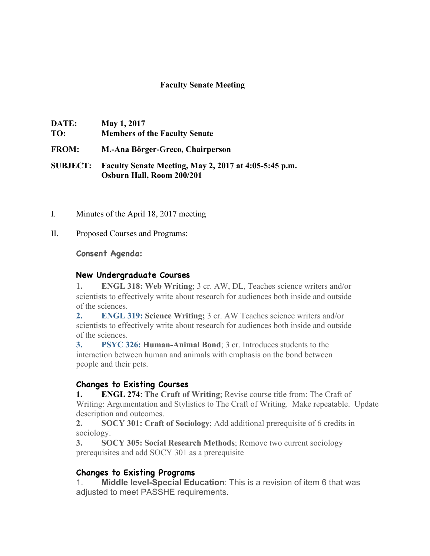## **Faculty Senate Meeting**

| DATE: | May 1, 2017                          |
|-------|--------------------------------------|
| TO:   | <b>Members of the Faculty Senate</b> |

**FROM: M.-Ana Börger-Greco, Chairperson**

**SUBJECT: Faculty Senate Meeting, May 2, 2017 at 4:05-5:45 p.m. Osburn Hall, Room 200/201**

- I. Minutes of the April 18, 2017 meeting
- II. Proposed Courses and Programs:

**Consent Agenda:**

## **New Undergraduate Courses**

1**. ENGL 318: Web Writing**; 3 cr. AW, DL, Teaches science writers and/or scientists to effectively write about research for audiences both inside and outside of the sciences.

**2. ENGL 319: Science Writing;** 3 cr. AW Teaches science writers and/or scientists to effectively write about research for audiences both inside and outside of the sciences.

**3. PSYC 326: Human-Animal Bond**; 3 cr. Introduces students to the interaction between human and animals with emphasis on the bond between people and their pets.

## **Changes to Existing Courses**

**1. ENGL 274**: **The Craft of Writing**; Revise course title from: The Craft of Writing: Argumentation and Stylistics to The Craft of Writing. Make repeatable. Update description and outcomes.

**2. SOCY 301: Craft of Sociology**; Add additional prerequisite of 6 credits in sociology.

**3. SOCY 305: Social Research Methods**; Remove two current sociology prerequisites and add SOCY 301 as a prerequisite

## **Changes to Existing Programs**

1. **Middle level-Special Education**: This is a revision of item 6 that was adjusted to meet PASSHE requirements.